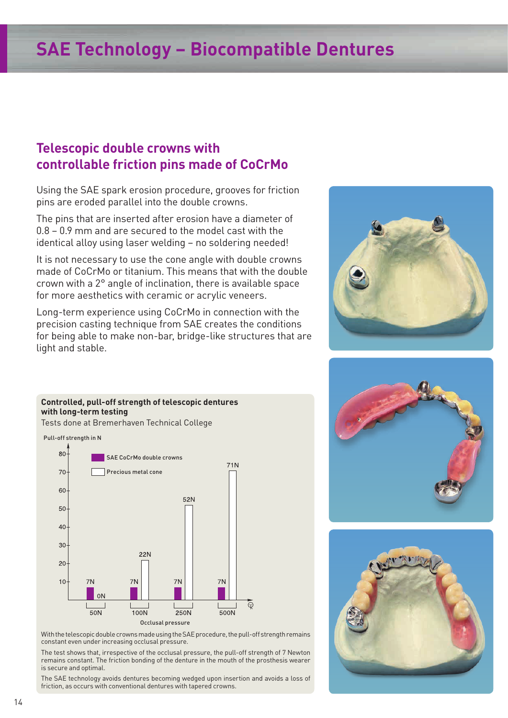## **SAE Technology – Biocompatible Dentures**

## **Telescopic double crowns with controllable friction pins made of CoCrMo**

Using the SAE spark erosion procedure, grooves for friction pins are eroded parallel into the double crowns.

The pins that are inserted after erosion have a diameter of 0.8 – 0.9 mm and are secured to the model cast with the identical alloy using laser welding – no soldering needed!

It is not necessary to use the cone angle with double crowns made of CoCrMo or titanium. This means that with the double crown with a 2° angle of inclination, there is available space for more aesthetics with ceramic or acrylic veneers.

Long-term experience using CoCrMo in connection with the precision casting technique from SAE creates the conditions for being able to make non-bar, bridge-like structures that are light and stable.







## **Controlled, pull-off strength of telescopic dentures with long-term testing** Tests done at Bremerhaven Technical College



With the telescopic double crowns made using the SAE procedure, the pull-off strength remains constant even under increasing occlusal pressure.

The test shows that, irrespective of the occlusal pressure, the pull-off strength of 7 Newton remains constant. The friction bonding of the denture in the mouth of the prosthesis wearer is secure and optimal.

The SAE technology avoids dentures becoming wedged upon insertion and avoids a loss of friction, as occurs with conventional dentures with tapered crowns.